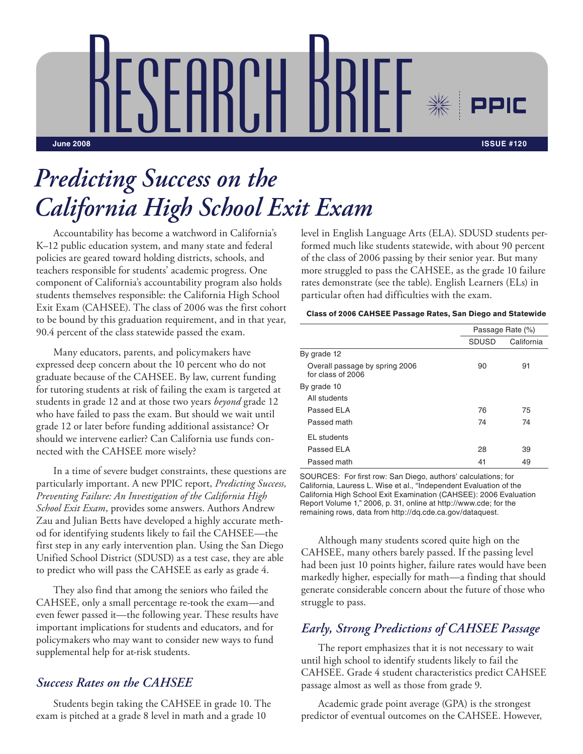RESEARCH BRIEF **June 2008 ISSUE #120**

# *Predicting Success on the California High School Exit Exam*

Accountability has become a watchword in California's K–12 public education system, and many state and federal policies are geared toward holding districts, schools, and teachers responsible for students' academic progress. One component of California's accountability program also holds students themselves responsible: the California High School Exit Exam (CAHSEE). The class of 2006 was the first cohort to be bound by this graduation requirement, and in that year, 90.4 percent of the class statewide passed the exam.

Many educators, parents, and policymakers have expressed deep concern about the 10 percent who do not graduate because of the CAHSEE. By law, current funding for tutoring students at risk of failing the exam is targeted at students in grade 12 and at those two years *beyond* grade 12 who have failed to pass the exam. But should we wait until grade 12 or later before funding additional assistance? Or should we intervene earlier? Can California use funds connected with the CAHSEE more wisely?

In a time of severe budget constraints, these questions are particularly important. A new PPIC report, *Predicting Success, Preventing Failure: An Investigation of the California High School Exit Exam*, provides some answers. Authors Andrew Zau and Julian Betts have developed a highly accurate method for identifying students likely to fail the CAHSEE—the first step in any early intervention plan. Using the San Diego Unified School District (SDUSD) as a test case, they are able to predict who will pass the CAHSEE as early as grade 4.

They also find that among the seniors who failed the CAHSEE, only a small percentage re-took the exam—and even fewer passed it—the following year. These results have important implications for students and educators, and for policymakers who may want to consider new ways to fund supplemental help for at-risk students.

### *Success Rates on the CAHSEE*

Students begin taking the CAHSEE in grade 10. The exam is pitched at a grade 8 level in math and a grade 10

level in English Language Arts (ELA). SDUSD students performed much like students statewide, with about 90 percent of the class of 2006 passing by their senior year. But many more struggled to pass the CAHSEE, as the grade 10 failure rates demonstrate (see the table). English Learners (ELs) in particular often had difficulties with the exam.

#### **Class of 2006 CAHSEE Passage Rates, San Diego and Statewide**

|                                                     |              | Passage Rate (%) |  |
|-----------------------------------------------------|--------------|------------------|--|
|                                                     | <b>SDUSD</b> | California       |  |
| By grade 12                                         |              |                  |  |
| Overall passage by spring 2006<br>for class of 2006 | 90           | 91               |  |
| By grade 10                                         |              |                  |  |
| All students                                        |              |                  |  |
| Passed ELA                                          | 76           | 75               |  |
| Passed math                                         | 74           | 74               |  |
| EL students                                         |              |                  |  |
| Passed ELA                                          | 28           | 39               |  |
| Passed math                                         | 41           | 49               |  |

SOURCES: For first row: San Diego, authors' calculations; for California, Lauress L. Wise et al., "Independent Evaluation of the California High School Exit Examination (CAHSEE): 2006 Evaluation Report Volume 1," 2006, p. 31, online at http://www.cde; for the remaining rows, data from http://dq.cde.ca.gov/dataquest.

Although many students scored quite high on the CAHSEE, many others barely passed. If the passing level had been just 10 points higher, failure rates would have been markedly higher, especially for math—a finding that should generate considerable concern about the future of those who struggle to pass.

#### *Early, Strong Predictions of CAHSEE Passage*

The report emphasizes that it is not necessary to wait until high school to identify students likely to fail the CAHSEE. Grade 4 student characteristics predict CAHSEE passage almost as well as those from grade 9.

Academic grade point average (GPA) is the strongest predictor of eventual outcomes on the CAHSEE. However,